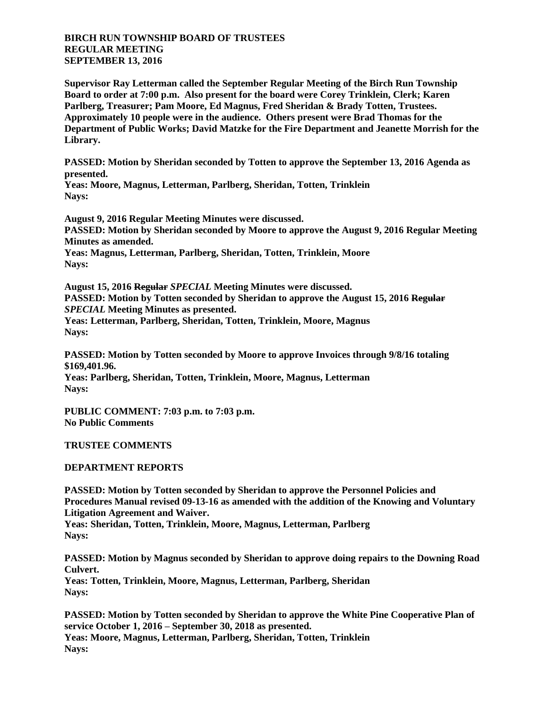## **BIRCH RUN TOWNSHIP BOARD OF TRUSTEES REGULAR MEETING SEPTEMBER 13, 2016**

**Supervisor Ray Letterman called the September Regular Meeting of the Birch Run Township Board to order at 7:00 p.m. Also present for the board were Corey Trinklein, Clerk; Karen Parlberg, Treasurer; Pam Moore, Ed Magnus, Fred Sheridan & Brady Totten, Trustees. Approximately 10 people were in the audience. Others present were Brad Thomas for the Department of Public Works; David Matzke for the Fire Department and Jeanette Morrish for the Library.**

**PASSED: Motion by Sheridan seconded by Totten to approve the September 13, 2016 Agenda as presented.**

**Yeas: Moore, Magnus, Letterman, Parlberg, Sheridan, Totten, Trinklein Nays:** 

**August 9, 2016 Regular Meeting Minutes were discussed. PASSED: Motion by Sheridan seconded by Moore to approve the August 9, 2016 Regular Meeting Minutes as amended. Yeas: Magnus, Letterman, Parlberg, Sheridan, Totten, Trinklein, Moore Nays:** 

**August 15, 2016 Regular** *SPECIAL* **Meeting Minutes were discussed. PASSED: Motion by Totten seconded by Sheridan to approve the August 15, 2016 Regular** *SPECIAL* **Meeting Minutes as presented. Yeas: Letterman, Parlberg, Sheridan, Totten, Trinklein, Moore, Magnus Nays:** 

**PASSED: Motion by Totten seconded by Moore to approve Invoices through 9/8/16 totaling \$169,401.96. Yeas: Parlberg, Sheridan, Totten, Trinklein, Moore, Magnus, Letterman**

**Nays:** 

**PUBLIC COMMENT: 7:03 p.m. to 7:03 p.m. No Public Comments**

## **TRUSTEE COMMENTS**

## **DEPARTMENT REPORTS**

**PASSED: Motion by Totten seconded by Sheridan to approve the Personnel Policies and Procedures Manual revised 09-13-16 as amended with the addition of the Knowing and Voluntary Litigation Agreement and Waiver.**

**Yeas: Sheridan, Totten, Trinklein, Moore, Magnus, Letterman, Parlberg Nays:** 

**PASSED: Motion by Magnus seconded by Sheridan to approve doing repairs to the Downing Road Culvert. Yeas: Totten, Trinklein, Moore, Magnus, Letterman, Parlberg, Sheridan**

**Nays: PASSED: Motion by Totten seconded by Sheridan to approve the White Pine Cooperative Plan of service October 1, 2016 – September 30, 2018 as presented. Yeas: Moore, Magnus, Letterman, Parlberg, Sheridan, Totten, Trinklein Nays:**